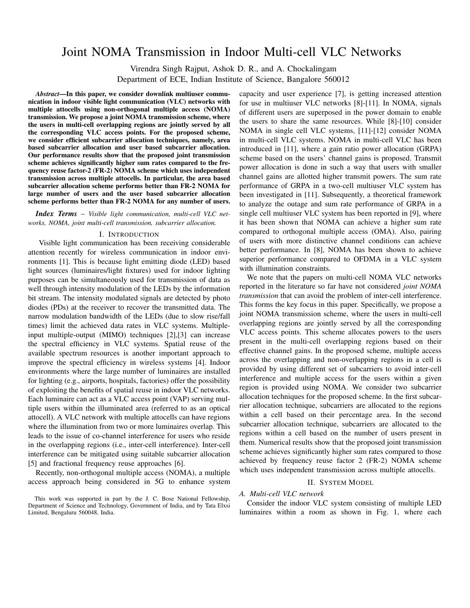# Joint NOMA Transmission in Indoor Multi-cell VLC Networks

Virendra Singh Rajput, Ashok D. R., and A. Chockalingam Department of ECE, Indian Institute of Science, Bangalore 560012

*Abstract*—In this paper, we consider downlink multiuser communication in indoor visible light communication (VLC) networks with multiple attocells using non-orthogonal multiple access (NOMA) transmission. We propose a joint NOMA transmission scheme, where the users in multi-cell overlapping regions are jointly served by all the corresponding VLC access points. For the proposed scheme, we consider efficient subcarrier allocation techniques, namely, area based subcarrier allocation and user based subcarrier allocation. Our performance results show that the proposed joint transmission scheme achieves significantly higher sum rates compared to the frequency reuse factor-2 (FR-2) NOMA scheme which uses independent transmission across multiple attocells. In particular, the area based subcarrier allocation scheme performs better than FR-2 NOMA for large number of users and the user based subcarrier allocation scheme performs better than FR-2 NOMA for any number of users.

# *Index Terms* – *Visible light communication, multi-cell VLC networks, NOMA, joint multi-cell transmission, subcarrier allocation.*

#### I. INTRODUCTION

Visible light communication has been receiving considerable attention recently for wireless communication in indoor environments [1]. This is because light emitting diode (LED) based light sources (luminaires/light fixtures) used for indoor lighting purposes can be simultaneously used for transmission of data as well through intensity modulation of the LEDs by the information bit stream. The intensity modulated signals are detected by photo diodes (PDs) at the receiver to recover the transmitted data. The narrow modulation bandwidth of the LEDs (due to slow rise/fall times) limit the achieved data rates in VLC systems. Multipleinput multiple-output (MIMO) techniques [2],[3] can increase the spectral efficiency in VLC systems. Spatial reuse of the available spectrum resources is another important approach to improve the spectral efficiency in wireless systems [4]. Indoor environments where the large number of luminaires are installed for lighting (e.g., airports, hospitals, factories) offer the possibility of exploiting the benefits of spatial reuse in indoor VLC networks. Each luminaire can act as a VLC access point (VAP) serving multiple users within the illuminated area (referred to as an optical attocell). A VLC network with multiple attocells can have regions where the illumination from two or more luminaires overlap. This leads to the issue of co-channel interference for users who reside in the overlapping regions (i.e., inter-cell interference). Inter-cell interference can be mitigated using suitable subcarrier allocation [5] and fractional frequency reuse approaches [6].

Recently, non-orthogonal multiple access (NOMA), a multiple access approach being considered in 5G to enhance system capacity and user experience [7], is getting increased attention for use in multiuser VLC networks [8]-[11]. In NOMA, signals of different users are superposed in the power domain to enable the users to share the same resources. While [8]-[10] consider NOMA in single cell VLC systems, [11]-[12] consider NOMA in multi-cell VLC systems. NOMA in multi-cell VLC has been introduced in [11], where a gain ratio power allocation (GRPA) scheme based on the users' channel gains is proposed. Transmit power allocation is done in such a way that users with smaller channel gains are allotted higher transmit powers. The sum rate performance of GRPA in a two-cell multiuser VLC system has been investigated in [11]. Subsequently, a theoretical framework to analyze the outage and sum rate performance of GRPA in a single cell multiuser VLC system has been reported in [9], where it has been shown that NOMA can achieve a higher sum rate compared to orthogonal multiple access (OMA). Also, pairing of users with more distinctive channel conditions can achieve better performance. In [8], NOMA has been shown to achieve superior performance compared to OFDMA in a VLC system with illumination constraints.

We note that the papers on multi-cell NOMA VLC networks reported in the literature so far have not considered *joint NOMA transmission* that can avoid the problem of inter-cell interference. This forms the key focus in this paper. Specifically, we propose a joint NOMA transmission scheme, where the users in multi-cell overlapping regions are jointly served by all the corresponding VLC access points. This scheme allocates powers to the users present in the multi-cell overlapping regions based on their effective channel gains. In the proposed scheme, multiple access across the overlapping and non-overlapping regions in a cell is provided by using different set of subcarriers to avoid inter-cell interference and multiple access for the users within a given region is provided using NOMA. We consider two subcarrier allocation techniques for the proposed scheme. In the first subcarrier allocation technique, subcarriers are allocated to the regions within a cell based on their percentage area. In the second subcarrier allocation technique, subcarriers are allocated to the regions within a cell based on the number of users present in them. Numerical results show that the proposed joint transmission scheme achieves significantly higher sum rates compared to those achieved by frequency reuse factor 2 (FR-2) NOMA scheme which uses independent transmission across multiple attocells.

### II. SYSTEM MODEL

### *A. Multi-cell VLC network*

Consider the indoor VLC system consisting of multiple LED luminaires within a room as shown in Fig. 1, where each

This work was supported in part by the J. C. Bose National Fellowship, Department of Science and Technology, Government of India, and by Tata Elxsi Limited, Bengaluru 560048, India.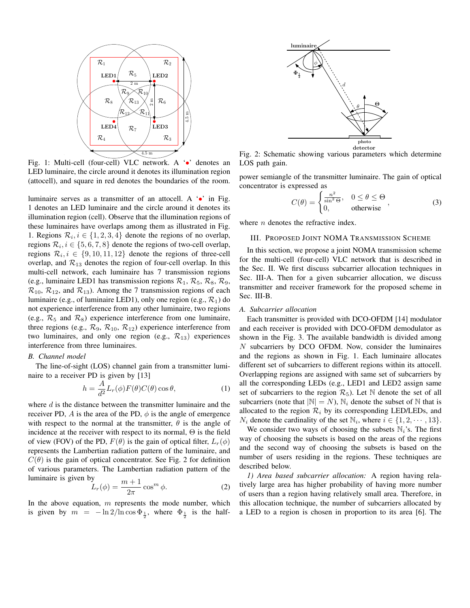

Fig. 1: Multi-cell (four-cell) VLC network. A '•' denotes an LED luminaire, the circle around it denotes its illumination region (attocell), and square in red denotes the boundaries of the room.

luminaire serves as a transmitter of an attocell. A '·' in Fig. 1 denotes an LED luminaire and the circle around it denotes its illumination region (cell). Observe that the illumination regions of these luminaires have overlaps among them as illustrated in Fig. 1. Regions  $\mathcal{R}_i, i \in \{1, 2, 3, 4\}$  denote the regions of no overlap, regions  $\mathcal{R}_i, i \in \{5, 6, 7, 8\}$  denote the regions of two-cell overlap, regions  $\mathcal{R}_i, i \in \{9, 10, 11, 12\}$  denote the regions of three-cell overlap, and  $\mathcal{R}_{13}$  denotes the region of four-cell overlap. In this multi-cell network, each luminaire has 7 transmission regions (e.g., luminaire LED1 has transmission regions  $\mathcal{R}_1$ ,  $\mathcal{R}_5$ ,  $\mathcal{R}_8$ ,  $\mathcal{R}_9$ ,  $\mathcal{R}_{10}$ ,  $\mathcal{R}_{12}$ , and  $\mathcal{R}_{13}$ ). Among the 7 transmission regions of each luminaire (e.g., of luminaire LED1), only one region (e.g.,  $\mathcal{R}_1$ ) do not experience interference from any other luminaire, two regions (e.g.,  $\mathcal{R}_5$  and  $\mathcal{R}_8$ ) experience interference from one luminaire, three regions (e.g.,  $\mathcal{R}_9$ ,  $\mathcal{R}_{10}$ ,  $\mathcal{R}_{12}$ ) experience interference from two luminaires, and only one region (e.g.,  $\mathcal{R}_{13}$ ) experiences interference from three luminaires.

#### *B. Channel model*

The line-of-sight (LOS) channel gain from a transmitter luminaire to a receiver PD is given by [13]

$$
h = \frac{A}{d^2} L_r(\phi) F(\theta) C(\theta) \cos \theta, \qquad (1)
$$

where  $d$  is the distance between the transmitter luminaire and the receiver PD, A is the area of the PD,  $\phi$  is the angle of emergence with respect to the normal at the transmitter,  $\theta$  is the angle of incidence at the receiver with respect to its normal,  $\Theta$  is the field of view (FOV) of the PD,  $F(\theta)$  is the gain of optical filter,  $L_r(\phi)$ represents the Lambertian radiation pattern of the luminaire, and  $C(\theta)$  is the gain of optical concentrator. See Fig. 2 for definition of various parameters. The Lambertian radiation pattern of the luminaire is given by

$$
L_r(\phi) = \frac{m+1}{2\pi} \cos^m \phi.
$$
 (2)

In the above equation,  $m$  represents the mode number, which is given by  $m = -\ln 2/\ln \cos \Phi_{\frac{1}{2}}$ , where  $\Phi_{\frac{1}{2}}$  is the half-



Fig. 2: Schematic showing various parameters which determine LOS path gain.

power semiangle of the transmitter luminaire. The gain of optical concentrator is expressed as

$$
C(\theta) = \begin{cases} \frac{n^2}{\sin^2 \Theta}, & 0 \le \theta \le \Theta \\ 0, & \text{otherwise} \end{cases}
$$
 (3)

where  $n$  denotes the refractive index.

## III. PROPOSED JOINT NOMA TRANSMISSION SCHEME

In this section, we propose a joint NOMA transmission scheme for the multi-cell (four-cell) VLC network that is described in the Sec. II. We first discuss subcarrier allocation techniques in Sec. III-A. Then for a given subcarrier allocation, we discuss transmitter and receiver framework for the proposed scheme in Sec. III-B.

#### *A. Subcarrier allocation*

Each transmitter is provided with DCO-OFDM [14] modulator and each receiver is provided with DCO-OFDM demodulator as shown in the Fig. 3. The available bandwidth is divided among  $N$  subcarriers by DCO OFDM. Now, consider the luminaires and the regions as shown in Fig. 1. Each luminaire allocates different set of subcarriers to different regions within its attocell. Overlapping regions are assigned with same set of subcarriers by all the corresponding LEDs (e.g., LED1 and LED2 assign same set of subcarriers to the region  $\mathcal{R}_5$ ). Let N denote the set of all subcarriers (note that  $|\mathbb{N}| = N$ ),  $\mathbb{N}_i$  denote the subset of N that is allocated to the region  $\mathcal{R}_i$  by its corresponding LED/LEDs, and  $N_i$  denote the cardinality of the set  $\mathbb{N}_i$ , where  $i \in \{1, 2, \cdots, 13\}$ .

We consider two ways of choosing the subsets  $\mathbb{N}_i$ 's. The first way of choosing the subsets is based on the areas of the regions and the second way of choosing the subsets is based on the number of users residing in the regions. These techniques are described below.

*1) Area based subcarrier allocation:* A region having relatively large area has higher probability of having more number of users than a region having relatively small area. Therefore, in this allocation technique, the number of subcarriers allocated by a LED to a region is chosen in proportion to its area [6]. The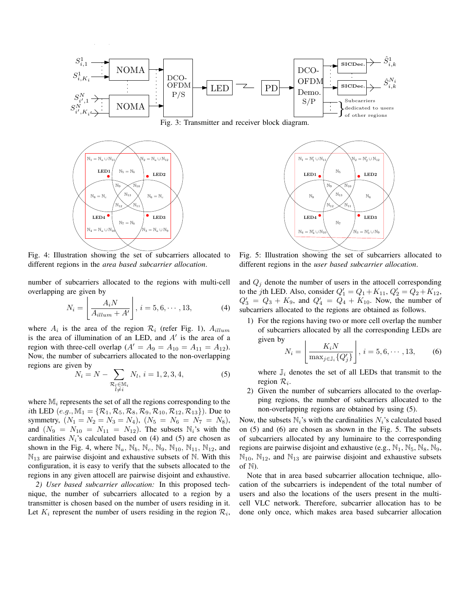

Fig. 3: Transmitter and receiver block diagram.



Fig. 4: Illustration showing the set of subcarriers allocated to different regions in the *area based subcarrier allocation*.

number of subcarriers allocated to the regions with multi-cell overlapping are given by

$$
N_i = \left\lfloor \frac{A_i N}{A_{illum} + A'} \right\rfloor, \, i = 5, 6, \cdots, 13,
$$
 (4)

where  $A_i$  is the area of the region  $\mathcal{R}_i$  (refer Fig. 1),  $A_{illum}$ is the area of illumination of an LED, and  $A'$  is the area of a region with three-cell overlap  $(A' = A_9 = A_{10} = A_{11} = A_{12})$ . Now, the number of subcarriers allocated to the non-overlapping regions are given by

$$
N_i = N - \sum_{\substack{\mathcal{R}_l \in \mathbb{M}_i \\ l \neq i}} N_l, \, i = 1, 2, 3, 4,\tag{5}
$$

where  $\mathbb{M}_i$  represents the set of all the regions corresponding to the *i*th LED  $(e.g., \mathbb{M}_1 = {\mathcal{R}_1, \mathcal{R}_5, \mathcal{R}_8, \mathcal{R}_9, \mathcal{R}_{10}, \mathcal{R}_{12}, \mathcal{R}_{13}}).$  Due to symmetry,  $(N_1 = N_2 = N_3 = N_4)$ ,  $(N_5 = N_6 = N_7 = N_8)$ , and  $(N_9 = N_{10} = N_{11} = N_{12})$ . The subsets  $N_i$ 's with the cardinalities  $N_i$ 's calculated based on (4) and (5) are chosen as shown in the Fig. 4, where  $\mathbb{N}_a$ ,  $\mathbb{N}_b$ ,  $\mathbb{N}_c$ ,  $\mathbb{N}_9$ ,  $\mathbb{N}_{10}$ ,  $\mathbb{N}_{11}$ ,  $\mathbb{N}_{12}$ , and  $\mathbb{N}_{13}$  are pairwise disjoint and exhaustive subsets of  $\mathbb{N}$ . With this configuration, it is easy to verify that the subsets allocated to the regions in any given attocell are pairwise disjoint and exhaustive.

*2) User based subcarrier allocation:* In this proposed technique, the number of subcarriers allocated to a region by a transmitter is chosen based on the number of users residing in it. Let  $K_i$  represent the number of users residing in the region  $\mathcal{R}_i$ ,



Fig. 5: Illustration showing the set of subcarriers allocated to different regions in the *user based subcarrier allocation*.

and  $Q_j$  denote the number of users in the attocell corresponding to the *j*th LED. Also, consider  $Q'_1 = Q_1 + K_{11}$ ,  $Q'_2 = Q_2 + K_{12}$ ,  $Q'_3 = Q_3 + K_9$ , and  $Q'_4 = Q_4 + K_{10}$ . Now, the number of subcarriers allocated to the regions are obtained as follows.

1) For the regions having two or more cell overlap the number of subcarriers allocated by all the corresponding LEDs are given by  $\overline{a}$ 

$$
N_i = \left\lfloor \frac{K_i N}{\max_{j \in \mathbb{J}_i} \{Q'_j\}} \right\rfloor, \, i = 5, 6, \cdots, 13, \tag{6}
$$

where  $\mathbb{J}_i$  denotes the set of all LEDs that transmit to the region  $\mathcal{R}_i$ .

2) Given the number of subcarriers allocated to the overlapping regions, the number of subcarriers allocated to the non-overlapping regions are obtained by using (5).

Now, the subsets  $\mathbb{N}_i$ 's with the cardinalities  $N_i$ 's calculated based on (5) and (6) are chosen as shown in the Fig. 5. The subsets of subcarriers allocated by any luminaire to the corresponding regions are pairwise disjoint and exhaustive (e.g.,  $\mathbb{N}_1$ ,  $\mathbb{N}_5$ ,  $\mathbb{N}_8$ ,  $\mathbb{N}_9$ ,  $\mathbb{N}_{10}$ ,  $\mathbb{N}_{12}$ , and  $\mathbb{N}_{13}$  are pairwise disjoint and exhaustive subsets of N).

Note that in area based subcarrier allocation technique, allocation of the subcarriers is independent of the total number of users and also the locations of the users present in the multicell VLC network. Therefore, subcarrier allocation has to be done only once, which makes area based subcarrier allocation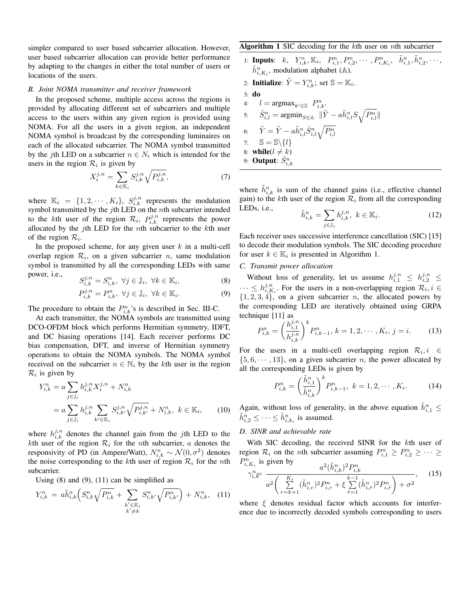simpler compared to user based subcarrier allocation. However, user based subcarrier allocation can provide better performance by adapting to the changes in either the total number of users or locations of the users.

## *B. Joint NOMA transmitter and receiver framework*

In the proposed scheme, multiple access across the regions is provided by allocating different set of subcarriers and multiple access to the users within any given region is provided using NOMA. For all the users in a given region, an independent NOMA symbol is broadcast by the corresponding luminaires on each of the allocated subcarrier. The NOMA symbol transmitted by the jth LED on a subcarrier  $n \in N_i$  which is intended for the users in the region  $\mathcal{R}_i$  is given by

$$
X_i^{j,n} = \sum_{k \in \mathbb{K}_i} S_{i,k}^{j,n} \sqrt{P_{i,k}^{j,n}},\tag{7}
$$

where  $\mathbb{K}_i = \{1, 2, \cdots, K_i\}, S_{i,k}^{j,n}$  represents the modulation symbol transmitted by the jth LED on the nth subcarrier intended to the kth user of the region  $\mathcal{R}_i$ ,  $P_{i,k}^{j,n}$  represents the power allocated by the jth LED for the  $n$ th subcarrier to the  $k$ th user of the region  $\mathcal{R}_i$ .

In the proposed scheme, for any given user  $k$  in a multi-cell overlap region  $\mathcal{R}_i$ , on a given subcarrier n, same modulation symbol is transmitted by all the corresponding LEDs with same power, i.e.,

$$
S_{i,k}^{j,n} = S_{i,k}^n, \ \forall j \in \mathbb{J}_i, \ \forall k \in \mathbb{K}_i,
$$
\n
$$
(8)
$$

$$
P_{i,k}^{j,n} = P_{i,k}^n, \ \forall j \in \mathbb{J}_i, \ \forall k \in \mathbb{K}_i.
$$

The procedure to obtain the  $P_{i,k}^n$ 's is described in Sec. III-C.

At each transmitter, the NOMA symbols are transmitted using DCO-OFDM block which performs Hermitian symmetry, IDFT, and DC biasing operations [14]. Each receiver performs DC bias compensation, DFT, and inverse of Hermitian symmetry operations to obtain the NOMA symbols. The NOMA symbol received on the subcarrier  $n \in \mathbb{N}_i$  by the kth user in the region  $\mathcal{R}_i$  is given by

$$
Y_{i,k}^{n} = a \sum_{j \in \mathbb{J}_i} h_{i,k}^{j,n} X_i^{j,n} + N_{i,k}^{n}
$$
  
=  $a \sum_{j \in \mathbb{J}_i} h_{i,k}^{j,n} \sum_{k' \in \mathbb{K}_i} S_{i,k'}^{j,n} \sqrt{P_{i,k'}^{j,n}} + N_{i,k}^{n}, \ k \in \mathbb{K}_i,$  (10)

where  $h_{i,k}^{j,n}$  denotes the channel gain from the jth LED to the kth user of the region  $\mathcal{R}_i$  for the nth subcarrier, a denotes the responsivity of PD (in Ampere/Watt),  $N_{i,k}^n \sim \mathcal{N}(0, \sigma^2)$  denotes the noise corresponding to the kth user of region  $\mathcal{R}_i$  for the nth subcarrier.

Using  $(8)$  and  $(9)$ ,  $(11)$  can be simplified as

$$
Y_{i,k}^{n} = a\tilde{h}_{i,k}^{n} \left( S_{i,k}^{n} \sqrt{P_{i,k}^{n}} + \sum_{\substack{k' \in \mathbb{K}_i \\ k' \neq k}} S_{i,k'}^{n} \sqrt{P_{i,k'}^{n}} \right) + N_{i,k}^{n}, \quad (11)
$$

## Algorithm 1 SIC decoding for the  $k$ th user on nth subcarrier

1: **Inputs**:  $k$ ,  $Y_{i,k}^n$ ,  $\mathbb{K}_i$ ,  $P_{i,1}^n$ ,  $P_{i,2}^n$ ,  $\cdots$ ,  $P_{i,K_i}^n$ ,  $\tilde{h}_{i,1}^n$ ,  $\tilde{h}_{i,2}^n$ ,  $\cdots$ ,  $\tilde{h}_{i,K_i}^n$ , modulation alphabet (A).

2: **Initialize**: 
$$
\tilde{Y} = Y_{i,k}^n
$$
; set  $\mathbb{S} = \mathbb{K}_i$ .

3: do

4:  $l = \text{argmax}_{k' \in \mathbb{S}} P_{i,k'}^n$ 5:  $\hat{S}^n_{i,l} = \operatorname{argmin}_{S \in \mathbb{A}} \ \|\tilde{Y} - a \tilde{h}^n_{i,l} S \sqrt{P^n_{i,l}}\|$ 6:  $\tilde{Y} = \tilde{Y} - a\tilde{h}_{i,l}^n \hat{S}_{i,l}^n \sqrt{P_{i,l}^n}$ 7:  $\mathbb{S} = \mathbb{S} \setminus \{l\}$ 8: while  $(l \neq k)$ 9: **Output**:  $\hat{S}^n_{i,k}$ 

where  $\tilde{h}_{i,k}^n$  is sum of the channel gains (i.e., effective channel gain) to the kth user of the region  $\mathcal{R}_i$  from all the corresponding LEDs, i.e.,

$$
\tilde{h}_{i,k}^n = \sum_{j \in \mathbb{J}_i} h_{i,k}^{j,n}, \ k \in \mathbb{K}_i.
$$
\n(12)

Each receiver uses successive interference cancellation (SIC) [15] to decode their modulation symbols. The SIC decoding procedure for user  $k \in \mathbb{K}_i$  is presented in Algorithm 1.

# *C. Transmit power allocation*

Without loss of generality, let us assume  $h_{i,1}^{j,n} \leq h_{i,2}^{j,n} \leq$  $\cdots \leq h_{i,K_i}^{j,n}$ . For the users in a non-overlapping region  $\mathcal{R}_i, i \in$  $\{1, 2, 3, 4\}$ , on a given subcarrier n, the allocated powers by the corresponding LED are iteratively obtained using GRPA technique [11] as

$$
P_{i,k}^{n} = \left(\frac{h_{i,1}^{j,n}}{h_{i,k}^{j,n}}\right)^{k} P_{i,k-1}^{n}, k = 1, 2, \cdots, K_{i}, j = i.
$$
 (13)

For the users in a multi-cell overlapping region  $\mathcal{R}_i, i \in$  $\{5, 6, \dots, 13\}$ , on a given subcarrier n, the power allocated by all the corresponding LEDs is given by

$$
P_{i,k}^{n} = \left(\frac{\tilde{h}_{i,1}^{n}}{\tilde{h}_{i,k}^{n}}\right)^{k} P_{i,k-1}^{n}, \ k = 1, 2, \cdots, K_{i}.
$$
 (14)

Again, without loss of generality, in the above equation  $\tilde{h}_{i,1}^n \leq$  $\tilde{h}_{i,2}^n \leq \cdots \leq \tilde{h}_{i,k_i}^n$  is assumed.

## *D. SINR and achievable rate*

With SIC decoding, the received SINR for the kth user of region  $\mathcal{R}_i$  on the *n*th subcarrier assuming  $P_{i,1}^n \geq P_{i,2}^n \geq \cdots \geq$  $P_{i,K_i}^n$  is given by

$$
\gamma_{i,\overline{k}}^n = \frac{a^2(\tilde{h}_{i,k}^n)^2 P_{i,k}^n}{a^2 \left( \sum_{r=k+1}^{K_i} (\tilde{h}_{i,r}^n)^2 P_{i,r}^n + \xi \sum_{\hat{r}=1}^{k-1} (\tilde{h}_{i,\hat{r}}^n)^2 P_{i,\hat{r}}^n \right) + \sigma^2},
$$
(15)

where  $\xi$  denotes residual factor which accounts for interference due to incorrectly decoded symbols corresponding to users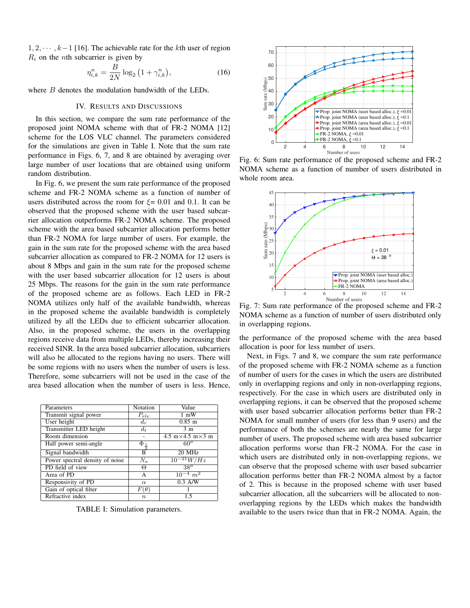$1, 2, \dots, k-1$  [16]. The achievable rate for the kth user of region  $R_i$  on the *n*th subcarrier is given by

$$
\eta_{i,k}^{n} = \frac{B}{2N} \log_2 (1 + \gamma_{i,k}^{n}), \tag{16}
$$

where  $B$  denotes the modulation bandwidth of the LEDs.

## IV. RESULTS AND DISCUSSIONS

In this section, we compare the sum rate performance of the proposed joint NOMA scheme with that of FR-2 NOMA [12] scheme for the LOS VLC channel. The parameters considered for the simulations are given in Table I. Note that the sum rate performance in Figs. 6, 7, and 8 are obtained by averaging over large number of user locations that are obtained using uniform random distribution.

In Fig. 6, we present the sum rate performance of the proposed scheme and FR-2 NOMA scheme as a function of number of users distributed across the room for  $\xi = 0.01$  and 0.1. It can be observed that the proposed scheme with the user based subcarrier allocation outperforms FR-2 NOMA scheme. The proposed scheme with the area based subcarrier allocation performs better than FR-2 NOMA for large number of users. For example, the gain in the sum rate for the proposed scheme with the area based subcarrier allocation as compared to FR-2 NOMA for 12 users is about 8 Mbps and gain in the sum rate for the proposed scheme with the user based subcarrier allocation for 12 users is about 25 Mbps. The reasons for the gain in the sum rate performance of the proposed scheme are as follows. Each LED in FR-2 NOMA utilizes only half of the available bandwidth, whereas in the proposed scheme the available bandwidth is completely utilized by all the LEDs due to efficient subcarrier allocation. Also, in the proposed scheme, the users in the overlapping regions receive data from multiple LEDs, thereby increasing their received SINR. In the area based subcarrier allocation, subcarriers will also be allocated to the regions having no users. There will be some regions with no users when the number of users is less. Therefore, some subcarriers will not be used in the case of the area based allocation when the number of users is less. Hence,

| Parameters                      | Notation                   | Value                             |
|---------------------------------|----------------------------|-----------------------------------|
| Transmit signal power           | $P_{ele}$                  | $1 \text{ mW}$                    |
| User height                     | $d_r$                      | $0.85$ m                          |
| Transmitter LED height          | $d_t$                      | 3 <sub>m</sub>                    |
| Room dimension                  |                            | 4.5 m $\times$ 4.5 m $\times$ 3 m |
| Half power semi-angle           | $\bar{\Phi}_{\frac{1}{2}}$ | $60^o$                            |
| Signal bandwidth                | B                          | 20 MHz                            |
| Power spectral density of noise | $N_o$                      | $10^{-21} W/Hz$                   |
| PD field of view                | Θ                          | $38^o$                            |
| Area of PD                      | A                          | $10^{-4}$ $m^2$                   |
| Responsivity of PD              | $\alpha$                   | $0.3$ A/W                         |
| Gain of optical filter          | $F(\theta)$                |                                   |
| Refractive index                | $\boldsymbol{n}$           | 15                                |

TABLE I: Simulation parameters.



Fig. 6: Sum rate performance of the proposed scheme and FR-2 NOMA scheme as a function of number of users distributed in whole room area.



Fig. 7: Sum rate performance of the proposed scheme and FR-2 NOMA scheme as a function of number of users distributed only in overlapping regions.

the performance of the proposed scheme with the area based allocation is poor for less number of users.

Next, in Figs. 7 and 8, we compare the sum rate performance of the proposed scheme with FR-2 NOMA scheme as a function of number of users for the cases in which the users are distributed only in overlapping regions and only in non-overlapping regions, respectively. For the case in which users are distributed only in overlapping regions, it can be observed that the proposed scheme with user based subcarrier allocation performs better than FR-2 NOMA for small number of users (for less than 9 users) and the performance of both the schemes are nearly the same for large number of users. The proposed scheme with area based subcarrier allocation performs worse than FR-2 NOMA. For the case in which users are distributed only in non-overlapping regions, we can observe that the proposed scheme with user based subcarrier allocation performs better than FR-2 NOMA almost by a factor of 2. This is because in the proposed scheme with user based subcarrier allocation, all the subcarriers will be allocated to nonoverlapping regions by the LEDs which makes the bandwidth available to the users twice than that in FR-2 NOMA. Again, the